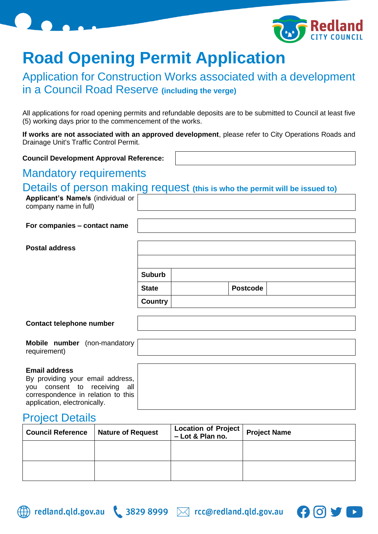

# **Road Opening Permit Application**

# Application for Construction Works associated with a development in a Council Road Reserve **(including the verge)**

All applications for road opening permits and refundable deposits are to be submitted to Council at least five (5) working days prior to the commencement of the works.

**If works are not associated with an approved development**, please refer to City Operations Roads and Drainage Unit's Traffic Control Permit.

**Council Development Approval Reference:**

## Mandatory requirements

#### Details of person making request **(this is who the permit will be issued to)**

**Applicant's Name/s** (individual or company name in full)

**For companies – contact name**

| <b>Postal address</b> |                |                 |  |
|-----------------------|----------------|-----------------|--|
|                       | <b>Suburb</b>  |                 |  |
|                       | <b>State</b>   | <b>Postcode</b> |  |
|                       | <b>Country</b> |                 |  |

#### **Contact telephone number**

|              | <b>Mobile number</b> (non-mandatory |
|--------------|-------------------------------------|
| requirement) |                                     |

#### **Email address**

By providing your email address, you consent to receiving all correspondence in relation to this application, electronically.

### Project Details

| <b>Council Reference</b> | <b>Nature of Request</b> | Location of Project<br>- Lot & Plan no. | <b>Project Name</b> |
|--------------------------|--------------------------|-----------------------------------------|---------------------|
|                          |                          |                                         |                     |
|                          |                          |                                         |                     |



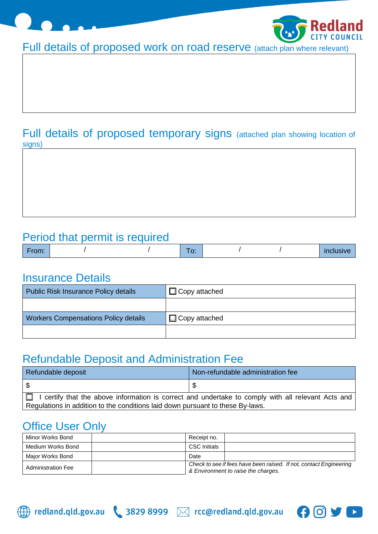



Full details of proposed work on road reserve (attach plan where relevant)

### Full details of proposed temporary signs (attached plan showing location of signs)

# Period that permit is required

| and the company of the<br>$\sim$ 1110 $\sim$ |  | --<br>__ |  | $-$<br>. .<br>. |
|----------------------------------------------|--|----------|--|-----------------|

## Insurance Details

| <b>Public Risk Insurance Policy details</b> | $\Box$ Copy attached |
|---------------------------------------------|----------------------|
|                                             |                      |
| <b>Workers Compensations Policy details</b> | $\Box$ Copy attached |
|                                             |                      |

# Refundable Deposit and Administration Fee

| Refundable deposit                                                                                        | Non-refundable administration fee |  |  |  |
|-----------------------------------------------------------------------------------------------------------|-----------------------------------|--|--|--|
|                                                                                                           |                                   |  |  |  |
| $\Box$ I certify that the above information is correct and undertake to comply with all relevant Acts and |                                   |  |  |  |
| Regulations in addition to the conditions laid down pursuant to these By-laws.                            |                                   |  |  |  |

# Office User Only

| Minor Works Bond          | Receipt no.         |                                                                                                           |  |
|---------------------------|---------------------|-----------------------------------------------------------------------------------------------------------|--|
| Medium Works Bond         | <b>CSC</b> Initials |                                                                                                           |  |
| Major Works Bond          | Date                |                                                                                                           |  |
| <b>Administration Fee</b> |                     | Check to see if fees have been raised. If not, contact Engineering<br>& Environment to raise the charges. |  |